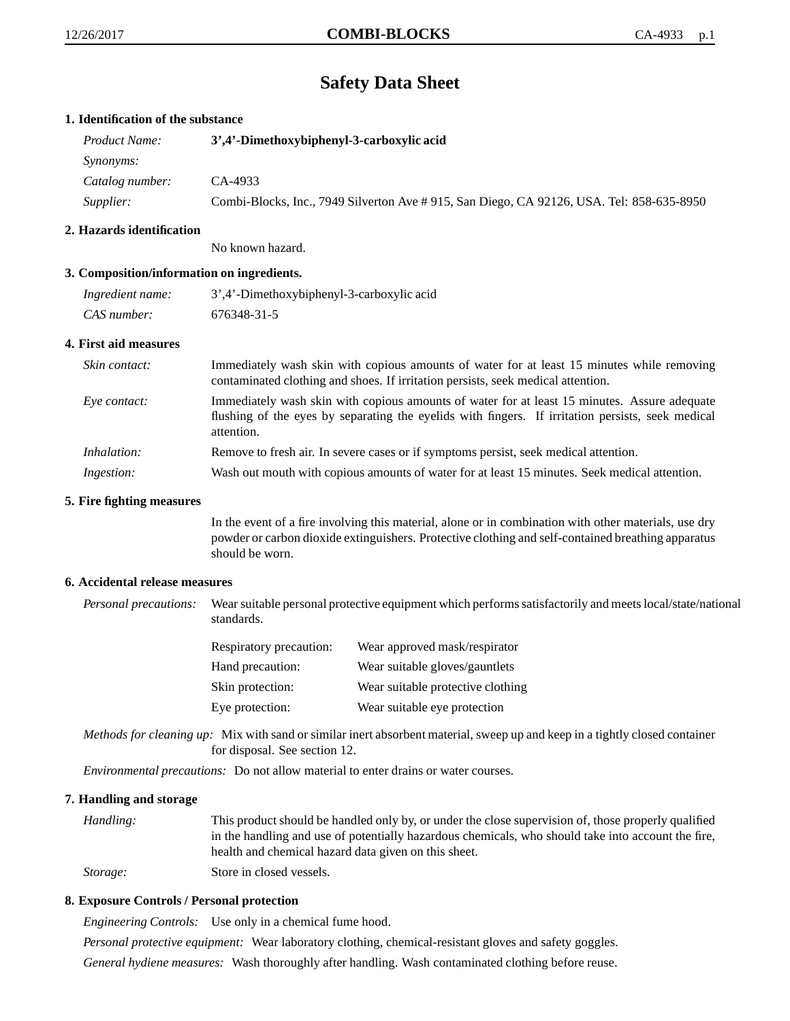# **Safety Data Sheet**

# **1. Identification of the substance**

| <i>Product Name:</i> | 3',4'-Dimethoxybiphenyl-3-carboxylic acid                                                 |  |
|----------------------|-------------------------------------------------------------------------------------------|--|
| <i>Synonyms:</i>     |                                                                                           |  |
| Catalog number:      | CA-4933                                                                                   |  |
| Supplier:            | Combi-Blocks, Inc., 7949 Silverton Ave # 915, San Diego, CA 92126, USA. Tel: 858-635-8950 |  |

# **2. Hazards identification**

No known hazard.

# **3. Composition/information on ingredients.**

| Ingredient name: | 3',4'-Dimethoxybiphenyl-3-carboxylic acid |
|------------------|-------------------------------------------|
| CAS number:      | 676348-31-5                               |

#### **4. First aid measures**

| Skin contact:     | Immediately wash skin with copious amounts of water for at least 15 minutes while removing<br>contaminated clothing and shoes. If irritation persists, seek medical attention.                                  |
|-------------------|-----------------------------------------------------------------------------------------------------------------------------------------------------------------------------------------------------------------|
| Eve contact:      | Immediately wash skin with copious amounts of water for at least 15 minutes. Assure adequate<br>flushing of the eyes by separating the eyelids with fingers. If irritation persists, seek medical<br>attention. |
| Inhalation:       | Remove to fresh air. In severe cases or if symptoms persist, seek medical attention.                                                                                                                            |
| <i>Ingestion:</i> | Wash out mouth with copious amounts of water for at least 15 minutes. Seek medical attention.                                                                                                                   |

#### **5. Fire fighting measures**

In the event of a fire involving this material, alone or in combination with other materials, use dry powder or carbon dioxide extinguishers. Protective clothing and self-contained breathing apparatus should be worn.

#### **6. Accidental release measures**

*Personal precautions:* Wear suitable personal protective equipment which performs satisfactorily and meets local/state/national standards.

| <b>Respiratory precaution:</b> | Wear approved mask/respirator     |  |
|--------------------------------|-----------------------------------|--|
| Hand precaution:               | Wear suitable gloves/gauntlets    |  |
| Skin protection:               | Wear suitable protective clothing |  |
| Eye protection:                | Wear suitable eye protection      |  |

*Methods for cleaning up:* Mix with sand or similar inert absorbent material, sweep up and keep in a tightly closed container for disposal. See section 12.

*Environmental precautions:* Do not allow material to enter drains or water courses.

#### **7. Handling and storage**

*Handling:* This product should be handled only by, or under the close supervision of, those properly qualified in the handling and use of potentially hazardous chemicals, who should take into account the fire, health and chemical hazard data given on this sheet. *Storage:* Store in closed vessels.

# **8. Exposure Controls / Personal protection**

*Engineering Controls:* Use only in a chemical fume hood.

*Personal protective equipment:* Wear laboratory clothing, chemical-resistant gloves and safety goggles.

*General hydiene measures:* Wash thoroughly after handling. Wash contaminated clothing before reuse.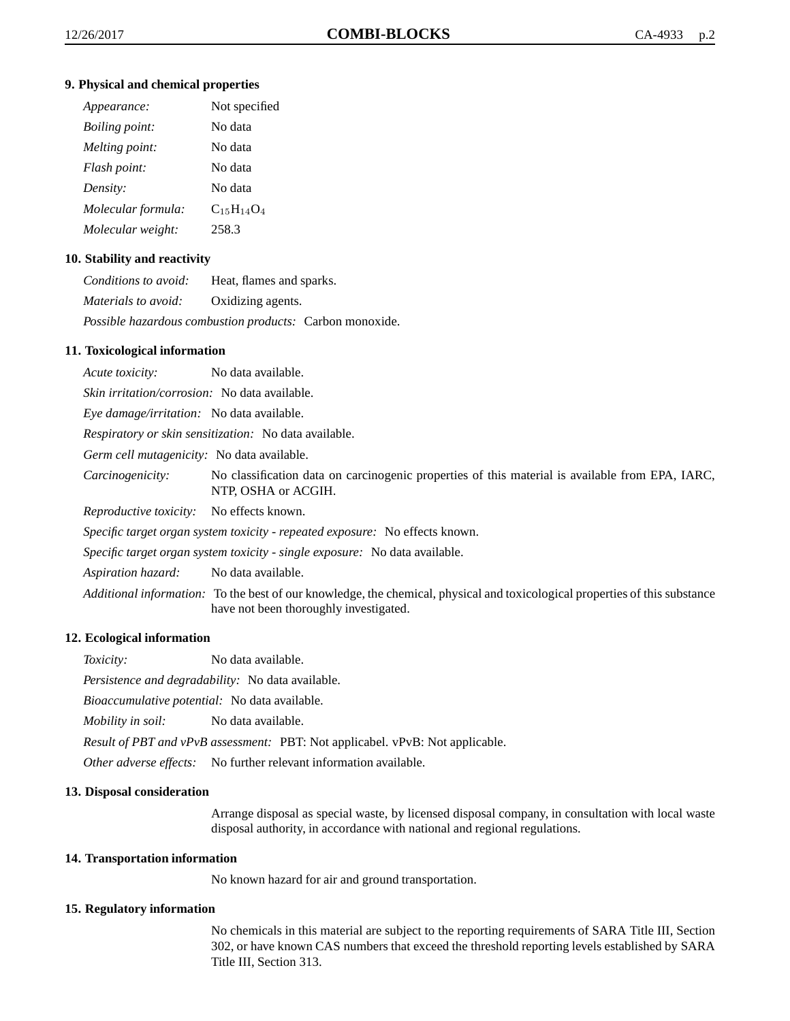### **9. Physical and chemical properties**

| Appearance:           | Not specified     |
|-----------------------|-------------------|
| <i>Boiling point:</i> | No data           |
| Melting point:        | No data           |
| Flash point:          | No data           |
| Density:              | No data           |
| Molecular formula:    | $C_{15}H_{14}O_4$ |
| Molecular weight:     | 258.3             |

# **10. Stability and reactivity**

| Conditions to avoid:                         | Heat, flames and sparks.                                 |
|----------------------------------------------|----------------------------------------------------------|
| <i>Materials to avoid:</i> Oxidizing agents. |                                                          |
|                                              | Possible hazardous combustion products: Carbon monoxide. |

# **11. Toxicological information**

*Acute toxicity:* No data available. *Skin irritation/corrosion:* No data available. *Eye damage/irritation:* No data available. *Respiratory or skin sensitization:* No data available. *Germ cell mutagenicity:* No data available. *Carcinogenicity:* No classification data on carcinogenic properties of this material is available from EPA, IARC, NTP, OSHA or ACGIH. *Reproductive toxicity:* No effects known. *Specific target organ system toxicity - repeated exposure:* No effects known. *Specific target organ system toxicity - single exposure:* No data available. *Aspiration hazard:* No data available. *Additional information:* To the best of our knowledge, the chemical, physical and toxicological properties of this substance have not been thoroughly investigated.

# **12. Ecological information**

*Toxicity:* No data available.

*Persistence and degradability:* No data available.

*Bioaccumulative potential:* No data available.

*Mobility in soil:* No data available.

*Result of PBT and vPvB assessment:* PBT: Not applicabel. vPvB: Not applicable.

*Other adverse effects:* No further relevant information available.

#### **13. Disposal consideration**

Arrange disposal as special waste, by licensed disposal company, in consultation with local waste disposal authority, in accordance with national and regional regulations.

#### **14. Transportation information**

No known hazard for air and ground transportation.

# **15. Regulatory information**

No chemicals in this material are subject to the reporting requirements of SARA Title III, Section 302, or have known CAS numbers that exceed the threshold reporting levels established by SARA Title III, Section 313.